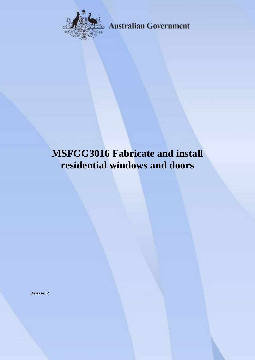

**Australian Government** 

# **MSFGG3016 Fabricate and install residential windows and doors**

**Release: 2**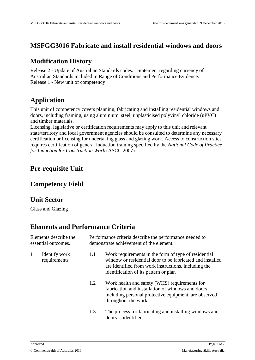#### **MSFGG3016 Fabricate and install residential windows and doors**

#### **Modification History**

Release 2 - Update of Australian Standards codes. Statement regarding currency of Australian Standards included in Range of Conditions and Performance Evidence. Release 1 - New unit of competency

## **Application**

This unit of competency covers planning, fabricating and installing residential windows and doors, including framing, using aluminium, steel, unplasticised polyvinyl chloride (uPVC) and timber materials.

Licensing, legislative or certification requirements may apply to this unit and relevant state/territory and local government agencies should be consulted to determine any necessary certification or licensing for undertaking glass and glazing work. Access to construction sites requires certification of general induction training specified by the *National Code of Practice for Induction for Construction Work* (ASCC 2007).

# **Pre-requisite Unit**

#### **Competency Field**

#### **Unit Sector**

Glass and Glazing

## **Elements and Performance Criteria**

| Elements describe the<br>essential outcomes. |                               | Performance criteria describe the performance needed to<br>demonstrate achievement of the element. |                                                                                                                                                                                                                    |  |
|----------------------------------------------|-------------------------------|----------------------------------------------------------------------------------------------------|--------------------------------------------------------------------------------------------------------------------------------------------------------------------------------------------------------------------|--|
| 1                                            | Identify work<br>requirements | 1.1                                                                                                | Work requirements in the form of type of residential<br>window or residential door to be fabricated and installed<br>are identified from work instructions, including the<br>identification of its pattern or plan |  |
|                                              |                               | 1.2                                                                                                | Work health and safety (WHS) requirements for<br>fabrication and installation of windows and doors,<br>including personal protective equipment, are observed<br>throughout the work                                |  |
|                                              |                               | 1.3                                                                                                | The process for fabricating and installing windows and<br>doors is identified                                                                                                                                      |  |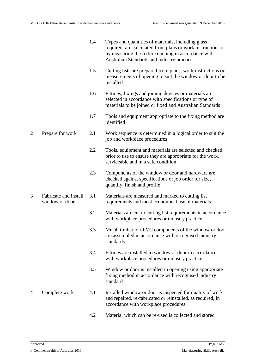|                |                                         | 1.4 | Types and quantities of materials, including glass<br>required, are calculated from plans or work instructions or<br>by measuring the fixture opening in accordance with<br>Australian Standards and industry practice |
|----------------|-----------------------------------------|-----|------------------------------------------------------------------------------------------------------------------------------------------------------------------------------------------------------------------------|
|                |                                         | 1.5 | Cutting lists are prepared from plans, work instructions or<br>measurements of opening to suit the window or door to be<br>installed                                                                                   |
|                |                                         | 1.6 | Fittings, fixings and joining devices or materials are<br>selected in accordance with specifications or type of<br>materials to be joined or fixed and Australian Standards                                            |
|                |                                         | 1.7 | Tools and equipment appropriate to the fixing method are<br>identified                                                                                                                                                 |
| $\overline{2}$ | Prepare for work                        | 2.1 | Work sequence is determined in a logical order to suit the<br>job and workplace procedures                                                                                                                             |
|                |                                         | 2.2 | Tools, equipment and materials are selected and checked<br>prior to use to ensure they are appropriate for the work,<br>serviceable and in a safe condition                                                            |
|                |                                         | 2.3 | Components of the window or door and hardware are<br>checked against specifications or job order for size,<br>quantity, finish and profile                                                                             |
| 3              | Fabricate and install<br>window or door | 3.1 | Materials are measured and marked to cutting list<br>requirements and most economical use of materials                                                                                                                 |
|                |                                         | 3.2 | Materials are cut to cutting list requirements in accordance<br>with workplace procedures or industry practice                                                                                                         |
|                |                                         | 3.3 | Metal, timber or uPVC components of the window or door<br>are assembled in accordance with recognised industry<br>standards                                                                                            |
|                |                                         | 3.4 | Fittings are installed to window or door in accordance<br>with workplace procedures or industry practice                                                                                                               |
|                |                                         | 3.5 | Window or door is installed in opening using appropriate<br>fixing method in accordance with recognised industry<br>standard                                                                                           |
| 4              | Complete work                           | 4.1 | Installed window or door is inspected for quality of work<br>and repaired, re-fabricated or reinstalled, as required, in<br>accordance with workplace procedures                                                       |
|                |                                         | 4.2 | Material which can be re-used is collected and stored                                                                                                                                                                  |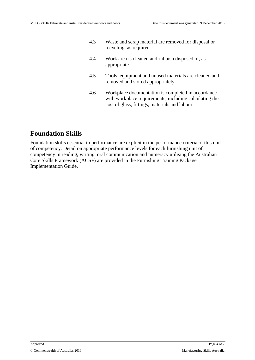| 4.3 | Waste and scrap material are removed for disposal or<br>recycling, as required            |
|-----|-------------------------------------------------------------------------------------------|
| 4.4 | Work area is cleaned and rubbish disposed of, as<br>appropriate                           |
| 4.5 | Tools, equipment and unused materials are cleaned and<br>removed and stored appropriately |

4.6 Workplace documentation is completed in accordance with workplace requirements, including calculating the cost of glass, fittings, materials and labour

# **Foundation Skills**

Foundation skills essential to performance are explicit in the performance criteria of this unit of competency. Detail on appropriate performance levels for each furnishing unit of competency in reading, writing, oral communication and numeracy utilising the Australian Core Skills Framework (ACSF) are provided in the Furnishing Training Package Implementation Guide.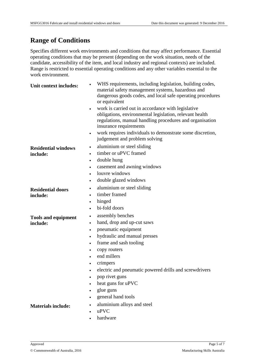# **Range of Conditions**

Specifies different work environments and conditions that may affect performance. Essential operating conditions that may be present (depending on the work situation, needs of the candidate, accessibility of the item, and local industry and regional contexts) are included. Range is restricted to essential operating conditions and any other variables essential to the work environment.

| Unit context includes:                 | WHS requirements, including legislation, building codes,<br>material safety management systems, hazardous and<br>dangerous goods codes, and local safe operating procedures<br>or equivalent                                                                                                                                                                                                  |
|----------------------------------------|-----------------------------------------------------------------------------------------------------------------------------------------------------------------------------------------------------------------------------------------------------------------------------------------------------------------------------------------------------------------------------------------------|
|                                        | work is carried out in accordance with legislative<br>$\bullet$<br>obligations, environmental legislation, relevant health<br>regulations, manual handling procedures and organisation<br>insurance requirements                                                                                                                                                                              |
|                                        | work requires individuals to demonstrate some discretion,<br>$\bullet$<br>judgement and problem solving                                                                                                                                                                                                                                                                                       |
| <b>Residential windows</b><br>include: | aluminium or steel sliding<br>$\bullet$<br>timber or uPVC framed<br>double hung<br>$\bullet$<br>casement and awning windows<br>louvre windows<br>double glazed windows<br>$\bullet$                                                                                                                                                                                                           |
| <b>Residential doors</b><br>include:   | aluminium or steel sliding<br>$\bullet$<br>timber framed<br>hinged<br>$\bullet$<br>bi-fold doors                                                                                                                                                                                                                                                                                              |
| <b>Tools and equipment</b><br>include: | assembly benches<br>$\bullet$<br>hand, drop and up-cut saws<br>$\bullet$<br>pneumatic equipment<br>$\bullet$<br>hydraulic and manual presses<br>$\bullet$<br>frame and sash tooling<br>copy routers<br>$\bullet$<br>end millers<br>crimpers<br>electric and pneumatic powered drills and screwdrivers<br>$\bullet$<br>pop rivet guns<br>heat guns for uPVC<br>glue guns<br>general hand tools |
| <b>Materials include:</b>              | aluminium alloys and steel<br>uPVC<br>hardware                                                                                                                                                                                                                                                                                                                                                |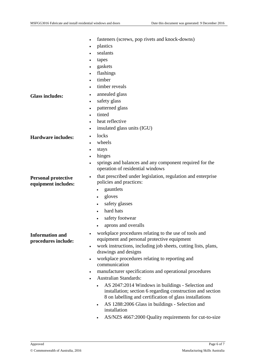|                                                   | fasteners (screws, pop rivets and knock-downs)<br>$\bullet$                                                           |
|---------------------------------------------------|-----------------------------------------------------------------------------------------------------------------------|
|                                                   | plastics<br>$\bullet$                                                                                                 |
|                                                   | sealants                                                                                                              |
|                                                   | tapes<br>٠                                                                                                            |
|                                                   | gaskets<br>$\bullet$                                                                                                  |
|                                                   | flashings<br>$\bullet$                                                                                                |
|                                                   | timber<br>$\bullet$                                                                                                   |
|                                                   | timber reveals                                                                                                        |
| <b>Glass includes:</b>                            | annealed glass<br>٠                                                                                                   |
|                                                   | safety glass<br>$\bullet$                                                                                             |
|                                                   | patterned glass<br>$\bullet$                                                                                          |
|                                                   | tinted                                                                                                                |
|                                                   | heat reflective<br>$\bullet$                                                                                          |
|                                                   | insulated glass units (IGU)<br>$\bullet$                                                                              |
| <b>Hardware includes:</b>                         | locks<br>$\bullet$                                                                                                    |
|                                                   | wheels<br>$\bullet$                                                                                                   |
|                                                   | stays<br>$\bullet$                                                                                                    |
|                                                   | hinges<br>$\bullet$                                                                                                   |
|                                                   | springs and balances and any component required for the<br>$\bullet$<br>operation of residential windows              |
| <b>Personal protective</b><br>equipment includes: | that prescribed under legislation, regulation and enterprise<br>$\bullet$<br>policies and practices:                  |
|                                                   | gauntlets                                                                                                             |
|                                                   | gloves<br>٠                                                                                                           |
|                                                   | safety glasses<br>$\bullet$                                                                                           |
|                                                   | hard hats<br>$\bullet$                                                                                                |
|                                                   | safety footwear                                                                                                       |
|                                                   | aprons and overalls                                                                                                   |
| <b>Information and</b><br>procedures include:     | workplace procedures relating to the use of tools and<br>$\bullet$<br>equipment and personal protective equipment     |
|                                                   | work instructions, including job sheets, cutting lists, plans,<br>$\bullet$                                           |
|                                                   | drawings and designs                                                                                                  |
|                                                   | workplace procedures relating to reporting and<br>$\bullet$<br>communication                                          |
|                                                   | manufacturer specifications and operational procedures<br>$\bullet$                                                   |
|                                                   | <b>Australian Standards:</b><br>$\bullet$                                                                             |
|                                                   | AS 2047:2014 Windows in buildings - Selection and<br>$\bullet$                                                        |
|                                                   | installation; section 6 regarding construction and section<br>8 on labelling and certification of glass installations |
|                                                   | AS 1288:2006 Glass in buildings - Selection and<br>$\bullet$<br>installation                                          |
|                                                   | AS/NZS 4667:2000 Quality requirements for cut-to-size                                                                 |